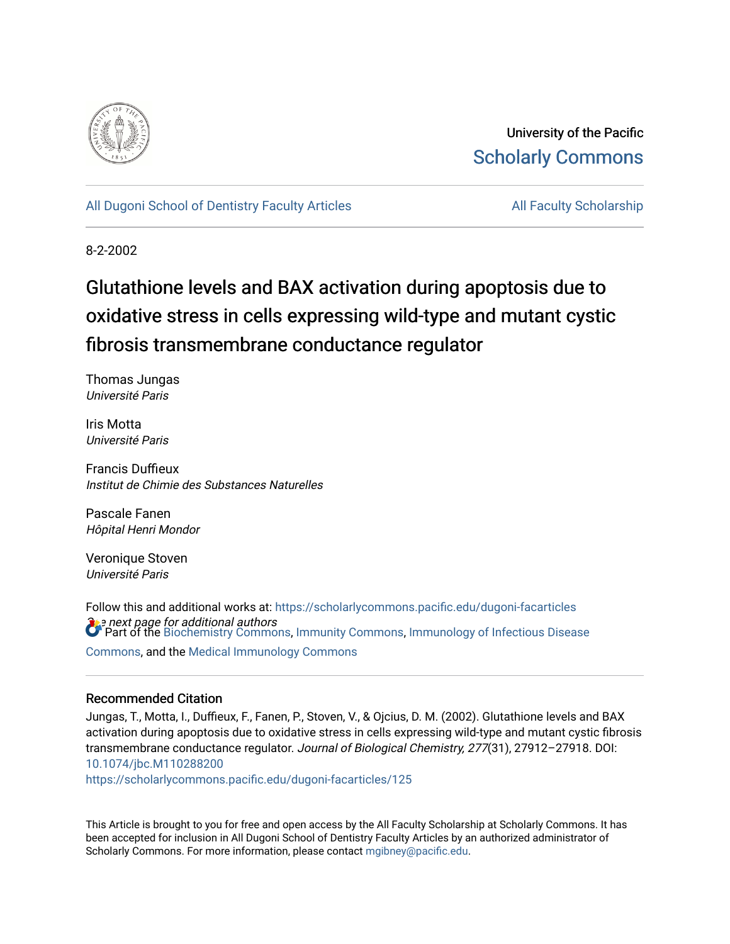

University of the Pacific [Scholarly Commons](https://scholarlycommons.pacific.edu/) 

[All Dugoni School of Dentistry Faculty Articles](https://scholarlycommons.pacific.edu/dugoni-facarticles) All Faculty Scholarship

8-2-2002

# Glutathione levels and BAX activation during apoptosis due to oxidative stress in cells expressing wild-type and mutant cystic fibrosis transmembrane conductance regulator

Thomas Jungas Université Paris

Iris Motta Université Paris

Francis Duffieux Institut de Chimie des Substances Naturelles

Pascale Fanen Hôpital Henri Mondor

Veronique Stoven Université Paris

 $\Omega$ e next page for additional authors<br>Of Part of the [Biochemistry Commons](http://network.bepress.com/hgg/discipline/2?utm_source=scholarlycommons.pacific.edu%2Fdugoni-facarticles%2F125&utm_medium=PDF&utm_campaign=PDFCoverPages), [Immunity Commons,](http://network.bepress.com/hgg/discipline/34?utm_source=scholarlycommons.pacific.edu%2Fdugoni-facarticles%2F125&utm_medium=PDF&utm_campaign=PDFCoverPages) Immunology of Infectious Disease Follow this and additional works at: [https://scholarlycommons.pacific.edu/dugoni-facarticles](https://scholarlycommons.pacific.edu/dugoni-facarticles?utm_source=scholarlycommons.pacific.edu%2Fdugoni-facarticles%2F125&utm_medium=PDF&utm_campaign=PDFCoverPages)  [Commons](http://network.bepress.com/hgg/discipline/35?utm_source=scholarlycommons.pacific.edu%2Fdugoni-facarticles%2F125&utm_medium=PDF&utm_campaign=PDFCoverPages), and the [Medical Immunology Commons](http://network.bepress.com/hgg/discipline/671?utm_source=scholarlycommons.pacific.edu%2Fdugoni-facarticles%2F125&utm_medium=PDF&utm_campaign=PDFCoverPages) 

## Recommended Citation

Jungas, T., Motta, I., Duffieux, F., Fanen, P., Stoven, V., & Ojcius, D. M. (2002). Glutathione levels and BAX activation during apoptosis due to oxidative stress in cells expressing wild-type and mutant cystic fibrosis transmembrane conductance regulator. Journal of Biological Chemistry, 277(31), 27912–27918. DOI: [10.1074/jbc.M110288200](http://dx.doi.org/10.1074/jbc.M110288200) 

[https://scholarlycommons.pacific.edu/dugoni-facarticles/125](https://scholarlycommons.pacific.edu/dugoni-facarticles/125?utm_source=scholarlycommons.pacific.edu%2Fdugoni-facarticles%2F125&utm_medium=PDF&utm_campaign=PDFCoverPages) 

This Article is brought to you for free and open access by the All Faculty Scholarship at Scholarly Commons. It has been accepted for inclusion in All Dugoni School of Dentistry Faculty Articles by an authorized administrator of Scholarly Commons. For more information, please contact [mgibney@pacific.edu.](mailto:mgibney@pacific.edu)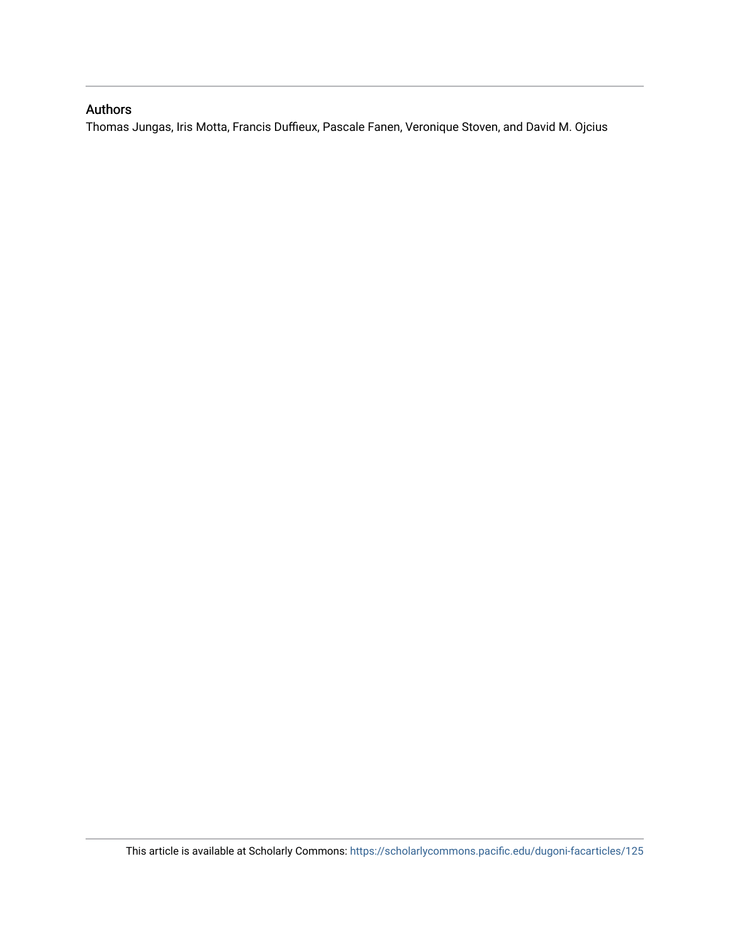# Authors

Thomas Jungas, Iris Motta, Francis Duffieux, Pascale Fanen, Veronique Stoven, and David M. Ojcius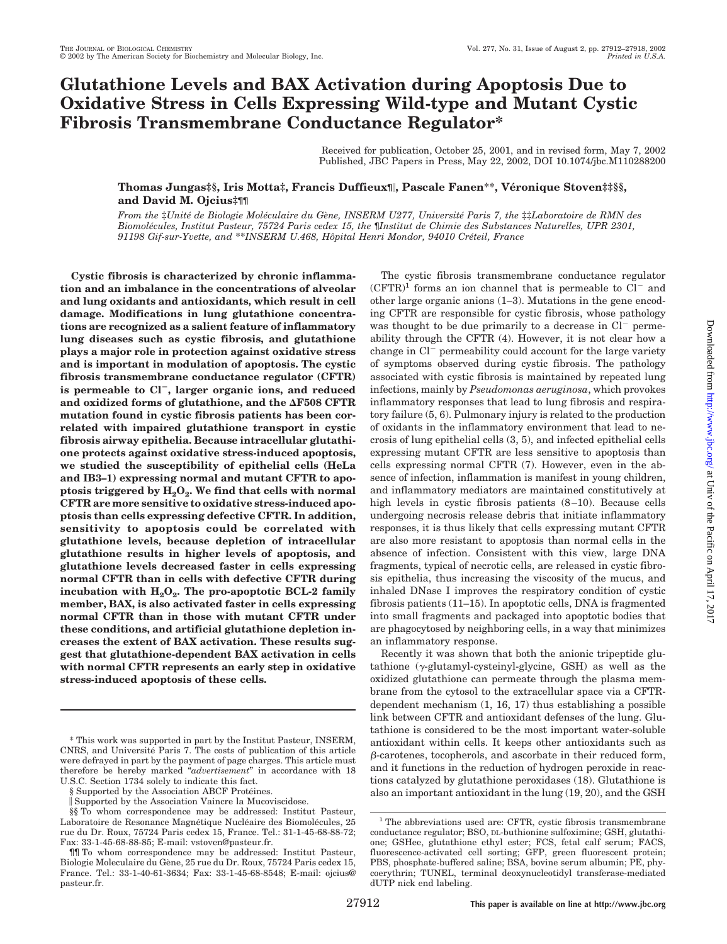# **Glutathione Levels and BAX Activation during Apoptosis Due to Oxidative Stress in Cells Expressing Wild-type and Mutant Cystic Fibrosis Transmembrane Conductance Regulator\***

Received for publication, October 25, 2001, and in revised form, May 7, 2002 Published, JBC Papers in Press, May 22, 2002, DOI 10.1074/jbc.M110288200

### **Thomas Jungas‡§, Iris Motta‡, Francis Duffieux¶, Pascale Fanen\*\*, Ve´ronique Stoven‡‡§§, and David M. Ojcius‡¶¶**

*From the* ‡*Unite´ de Biologie Mole´culaire du Ge`ne, INSERM U277, Universite´ Paris 7, the* ‡‡*Laboratoire de RMN des Biomole´cules, Institut Pasteur, 75724 Paris cedex 15, the* ¶*Institut de Chimie des Substances Naturelles, UPR 2301, 91198 Gif-sur-Yvette, and* \*\**INSERM U.468, Hoˆpital Henri Mondor, 94010 Cre´teil, France*

**Cystic fibrosis is characterized by chronic inflammation and an imbalance in the concentrations of alveolar and lung oxidants and antioxidants, which result in cell damage. Modifications in lung glutathione concentrations are recognized as a salient feature of inflammatory lung diseases such as cystic fibrosis, and glutathione plays a major role in protection against oxidative stress and is important in modulation of apoptosis. The cystic fibrosis transmembrane conductance regulator (CFTR) is permeable to Cl, larger organic ions, and reduced** and oxidized forms of glutathione, and the **AF508 CFTR mutation found in cystic fibrosis patients has been correlated with impaired glutathione transport in cystic fibrosis airway epithelia. Because intracellular glutathione protects against oxidative stress-induced apoptosis, we studied the susceptibility of epithelial cells (HeLa and IB3–1) expressing normal and mutant CFTR to apo**ptosis triggered by  $H_2O_2$ . We find that cells with normal **CFTR are more sensitive to oxidative stress-induced apoptosis than cells expressing defective CFTR. In addition, sensitivity to apoptosis could be correlated with glutathione levels, because depletion of intracellular glutathione results in higher levels of apoptosis, and glutathione levels decreased faster in cells expressing normal CFTR than in cells with defective CFTR during** incubation with  $H_2O_2$ . The pro-apoptotic BCL-2 family **member, BAX, is also activated faster in cells expressing normal CFTR than in those with mutant CFTR under these conditions, and artificial glutathione depletion increases the extent of BAX activation. These results suggest that glutathione-dependent BAX activation in cells with normal CFTR represents an early step in oxidative stress-induced apoptosis of these cells.**

The cystic fibrosis transmembrane conductance regulator  $(CFTR)^1$  forms an ion channel that is permeable to  $Cl^-$  and other large organic anions (1–3). Mutations in the gene encoding CFTR are responsible for cystic fibrosis, whose pathology was thought to be due primarily to a decrease in  $Cl^-$  permeability through the CFTR (4). However, it is not clear how a change in  $Cl^-$  permeability could account for the large variety of symptoms observed during cystic fibrosis. The pathology associated with cystic fibrosis is maintained by repeated lung infections, mainly by *Pseudomonas aeruginosa*, which provokes inflammatory responses that lead to lung fibrosis and respiratory failure (5, 6). Pulmonary injury is related to the production of oxidants in the inflammatory environment that lead to necrosis of lung epithelial cells (3, 5), and infected epithelial cells expressing mutant CFTR are less sensitive to apoptosis than cells expressing normal CFTR (7). However, even in the absence of infection, inflammation is manifest in young children, and inflammatory mediators are maintained constitutively at high levels in cystic fibrosis patients (8–10). Because cells undergoing necrosis release debris that initiate inflammatory responses, it is thus likely that cells expressing mutant CFTR are also more resistant to apoptosis than normal cells in the absence of infection. Consistent with this view, large DNA fragments, typical of necrotic cells, are released in cystic fibrosis epithelia, thus increasing the viscosity of the mucus, and inhaled DNase I improves the respiratory condition of cystic fibrosis patients (11–15). In apoptotic cells, DNA is fragmented into small fragments and packaged into apoptotic bodies that are phagocytosed by neighboring cells, in a way that minimizes an inflammatory response.

Recently it was shown that both the anionic tripeptide glutathione  $(\gamma$ -glutamyl-cysteinyl-glycine, GSH) as well as the oxidized glutathione can permeate through the plasma membrane from the cytosol to the extracellular space via a CFTRdependent mechanism (1, 16, 17) thus establishing a possible link between CFTR and antioxidant defenses of the lung. Glutathione is considered to be the most important water-soluble antioxidant within cells. It keeps other antioxidants such as  $\beta$ -carotenes, tocopherols, and ascorbate in their reduced form, and it functions in the reduction of hydrogen peroxide in reactions catalyzed by glutathione peroxidases (18). Glutathione is also an important antioxidant in the lung (19, 20), and the GSH

<sup>\*</sup> This work was supported in part by the Institut Pasteur, INSERM, CNRS, and Université Paris 7. The costs of publication of this article were defrayed in part by the payment of page charges. This article must therefore be hereby marked "*advertisement*" in accordance with 18 U.S.C. Section 1734 solely to indicate this fact.

<sup>§</sup> Supported by the Association ABCF Protéines.

Supported by the Association Vaincre la Mucoviscidose.

<sup>§§</sup> To whom correspondence may be addressed: Institut Pasteur, Laboratoire de Resonance Magnétique Nucléaire des Biomolécules, 25 rue du Dr. Roux, 75724 Paris cedex 15, France. Tel.: 31-1-45-68-88-72; Fax: 33-1-45-68-88-85; E-mail: vstoven@pasteur.fr.

<sup>¶¶</sup> To whom correspondence may be addressed: Institut Pasteur, Biologie Moleculaire du Gène, 25 rue du Dr. Roux, 75724 Paris cedex 15, France. Tel.: 33-1-40-61-3634; Fax: 33-1-45-68-8548; E-mail: ojcius@ pasteur.fr.

<sup>&</sup>lt;sup>1</sup> The abbreviations used are: CFTR, cystic fibrosis transmembrane conductance regulator; BSO, DL-buthionine sulfoximine; GSH, glutathione; GSHee, glutathione ethyl ester; FCS, fetal calf serum; FACS, fluorescence-activated cell sorting; GFP, green fluorescent protein; PBS, phosphate-buffered saline; BSA, bovine serum albumin; PE, phycoerythrin; TUNEL, terminal deoxynucleotidyl transferase-mediated dUTP nick end labeling.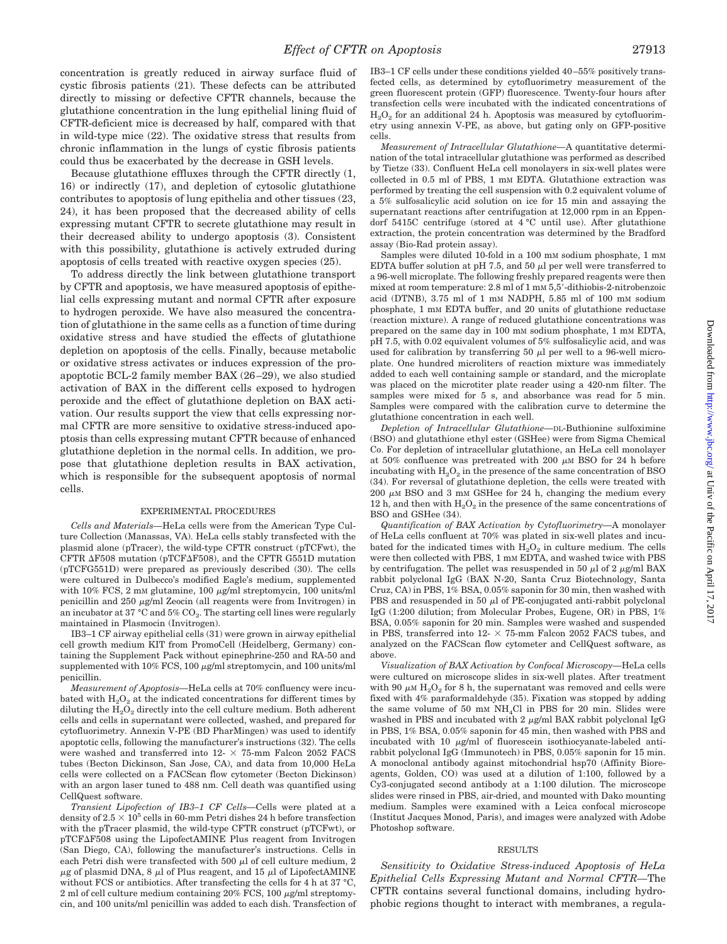concentration is greatly reduced in airway surface fluid of cystic fibrosis patients (21). These defects can be attributed directly to missing or defective CFTR channels, because the glutathione concentration in the lung epithelial lining fluid of CFTR-deficient mice is decreased by half, compared with that in wild-type mice (22). The oxidative stress that results from chronic inflammation in the lungs of cystic fibrosis patients could thus be exacerbated by the decrease in GSH levels.

Because glutathione effluxes through the CFTR directly (1, 16) or indirectly (17), and depletion of cytosolic glutathione contributes to apoptosis of lung epithelia and other tissues (23, 24), it has been proposed that the decreased ability of cells expressing mutant CFTR to secrete glutathione may result in their decreased ability to undergo apoptosis (3). Consistent with this possibility, glutathione is actively extruded during apoptosis of cells treated with reactive oxygen species (25).

To address directly the link between glutathione transport by CFTR and apoptosis, we have measured apoptosis of epithelial cells expressing mutant and normal CFTR after exposure to hydrogen peroxide. We have also measured the concentration of glutathione in the same cells as a function of time during oxidative stress and have studied the effects of glutathione depletion on apoptosis of the cells. Finally, because metabolic or oxidative stress activates or induces expression of the proapoptotic BCL-2 family member BAX (26–29), we also studied activation of BAX in the different cells exposed to hydrogen peroxide and the effect of glutathione depletion on BAX activation. Our results support the view that cells expressing normal CFTR are more sensitive to oxidative stress-induced apoptosis than cells expressing mutant CFTR because of enhanced glutathione depletion in the normal cells. In addition, we propose that glutathione depletion results in BAX activation, which is responsible for the subsequent apoptosis of normal cells.

#### EXPERIMENTAL PROCEDURES

*Cells and Materials—*HeLa cells were from the American Type Culture Collection (Manassas, VA). HeLa cells stably transfected with the plasmid alone (pTracer), the wild-type CFTR construct (pTCFwt), the CFTR  $\Delta$ F508 mutation (pTCF $\Delta$ F508), and the CFTR G551D mutation (pTCFG551D) were prepared as previously described (30). The cells were cultured in Dulbecco's modified Eagle's medium, supplemented with 10% FCS, 2 mM glutamine, 100  $\mu$ g/ml streptomycin, 100 units/ml penicillin and 250  $\mu$ g/ml Zeocin (all reagents were from Invitrogen) in an incubator at 37 °C and 5%  $CO<sub>2</sub>$ . The starting cell lines were regularly maintained in Plasmocin (Invitrogen).

IB3–1 CF airway epithelial cells (31) were grown in airway epithelial cell growth medium KIT from PromoCell (Heidelberg, Germany) containing the Supplement Pack without epinephrine-250 and RA-50 and supplemented with  $10\%$  FCS,  $100 \mu\text{g/ml}$  streptomycin, and  $100 \text{ units/ml}$ penicillin.

*Measurement of Apoptosis—*HeLa cells at 70% confluency were incubated with  $H_2O_2$  at the indicated concentrations for different times by diluting the  $H_2O_2$  directly into the cell culture medium. Both adherent cells and cells in supernatant were collected, washed, and prepared for cytofluorimetry. Annexin V-PE (BD PharMingen) was used to identify apoptotic cells, following the manufacturer's instructions (32). The cells were washed and transferred into  $12 - \times 75$ -mm Falcon 2052 FACS tubes (Becton Dickinson, San Jose, CA), and data from 10,000 HeLa cells were collected on a FACScan flow cytometer (Becton Dickinson) with an argon laser tuned to 488 nm. Cell death was quantified using CellQuest software.

*Transient Lipofection of IB3–1 CF Cells—*Cells were plated at a density of  $2.5 \times 10^5$  cells in 60-mm Petri dishes 24 h before transfection with the pTracer plasmid, the wild-type CFTR construct (pTCFwt), or pTCF $\Delta$ F508 using the LipofectAMINE Plus reagent from Invitrogen (San Diego, CA), following the manufacturer's instructions. Cells in each Petri dish were transfected with 500  $\mu$ l of cell culture medium, 2  $\mu$ g of plasmid DNA, 8  $\mu$ l of Plus reagent, and 15  $\mu$ l of LipofectAMINE without FCS or antibiotics. After transfecting the cells for 4 h at 37 °C, 2 ml of cell culture medium containing  $20\%$  FCS, 100  $\mu$ g/ml streptomycin, and 100 units/ml penicillin was added to each dish. Transfection of IB3–1 CF cells under these conditions yielded 40–55% positively transfected cells, as determined by cytofluorimetry measurement of the green fluorescent protein (GFP) fluorescence. Twenty-four hours after transfection cells were incubated with the indicated concentrations of  $H_2O_2$  for an additional 24 h. Apoptosis was measured by cytofluorimetry using annexin V-PE, as above, but gating only on GFP-positive cells.

*Measurement of Intracellular Glutathione—*A quantitative determination of the total intracellular glutathione was performed as described by Tietze (33). Confluent HeLa cell monolayers in six-well plates were collected in 0.5 ml of PBS, 1 mM EDTA. Glutathione extraction was performed by treating the cell suspension with 0.2 equivalent volume of a 5% sulfosalicylic acid solution on ice for 15 min and assaying the supernatant reactions after centrifugation at 12,000 rpm in an Eppendorf 5415C centrifuge (stored at 4 °C until use). After glutathione extraction, the protein concentration was determined by the Bradford assay (Bio-Rad protein assay).

Samples were diluted 10-fold in a 100 mM sodium phosphate, 1 mM EDTA buffer solution at pH 7.5, and 50  $\mu$ l per well were transferred to a 96-well microplate. The following freshly prepared reagents were then mixed at room temperature: 2.8 ml of 1 mm 5,5'-dithiobis-2-nitrobenzoic acid (DTNB), 3.75 ml of 1 mM NADPH, 5.85 ml of 100 mM sodium phosphate, 1 mM EDTA buffer, and 20 units of glutathione reductase (reaction mixture). A range of reduced glutathione concentrations was prepared on the same day in 100 mM sodium phosphate, 1 mM EDTA, pH 7.5, with 0.02 equivalent volumes of 5% sulfosalicylic acid, and was used for calibration by transferring 50  $\mu$ l per well to a 96-well microplate. One hundred microliters of reaction mixture was immediately added to each well containing sample or standard, and the microplate was placed on the microtiter plate reader using a 420-nm filter. The samples were mixed for 5 s, and absorbance was read for 5 min. Samples were compared with the calibration curve to determine the glutathione concentration in each well.

*Depletion of Intracellular Glutathione—*DL-Buthionine sulfoximine (BSO) and glutathione ethyl ester (GSHee) were from Sigma Chemical Co. For depletion of intracellular glutathione, an HeLa cell monolayer at 50% confluence was pretreated with 200  $\mu$ M BSO for 24 h before incubating with  $H_2O_2$  in the presence of the same concentration of BSO (34). For reversal of glutathione depletion, the cells were treated with  $200 \mu M$  BSO and 3 mM GSHee for 24 h, changing the medium every 12 h, and then with  $H_2O_2$  in the presence of the same concentrations of BSO and GSHee (34).

*Quantification of BAX Activation by Cytofluorimetry—*A monolayer of HeLa cells confluent at 70% was plated in six-well plates and incubated for the indicated times with  $H_2O_2$  in culture medium. The cells were then collected with PBS, 1 mM EDTA, and washed twice with PBS by centrifugation. The pellet was resuspended in 50  $\mu$ l of 2  $\mu$ g/ml BAX rabbit polyclonal IgG (BAX N-20, Santa Cruz Biotechnology, Santa Cruz, CA) in PBS, 1% BSA, 0.05% saponin for 30 min, then washed with PBS and resuspended in 50  $\mu$ l of PE-conjugated anti-rabbit polyclonal IgG (1:200 dilution; from Molecular Probes, Eugene, OR) in PBS, 1% BSA, 0.05% saponin for 20 min. Samples were washed and suspended in PBS, transferred into 12- $\times$  75-mm Falcon 2052 FACS tubes, and analyzed on the FACScan flow cytometer and CellQuest software, as above.

*Visualization of BAX Activation by Confocal Microscopy—*HeLa cells were cultured on microscope slides in six-well plates. After treatment with 90  $\mu$ M H<sub>2</sub>O<sub>2</sub> for 8 h, the supernatant was removed and cells were fixed with 4% paraformaldehyde (35). Fixation was stopped by adding the same volume of 50 mm  $NH<sub>4</sub>Cl$  in PBS for 20 min. Slides were washed in PBS and incubated with  $2 \mu g/ml$  BAX rabbit polyclonal IgG in PBS, 1% BSA, 0.05% saponin for 45 min, then washed with PBS and incubated with 10  $\mu$ g/ml of fluorescein isothiocyanate-labeled antirabbit polyclonal IgG (Immunotech) in PBS, 0.05% saponin for 15 min. A monoclonal antibody against mitochondrial hsp70 (Affinity Bioreagents, Golden, CO) was used at a dilution of 1:100, followed by a Cy3-conjugated second antibody at a 1:100 dilution. The microscope slides were rinsed in PBS, air-dried, and mounted with Dako mounting medium. Samples were examined with a Leica confocal microscope (Institut Jacques Monod, Paris), and images were analyzed with Adobe Photoshop software.

#### RESULTS

*Sensitivity to Oxidative Stress-induced Apoptosis of HeLa Epithelial Cells Expressing Mutant and Normal CFTR—*The CFTR contains several functional domains, including hydrophobic regions thought to interact with membranes, a regula-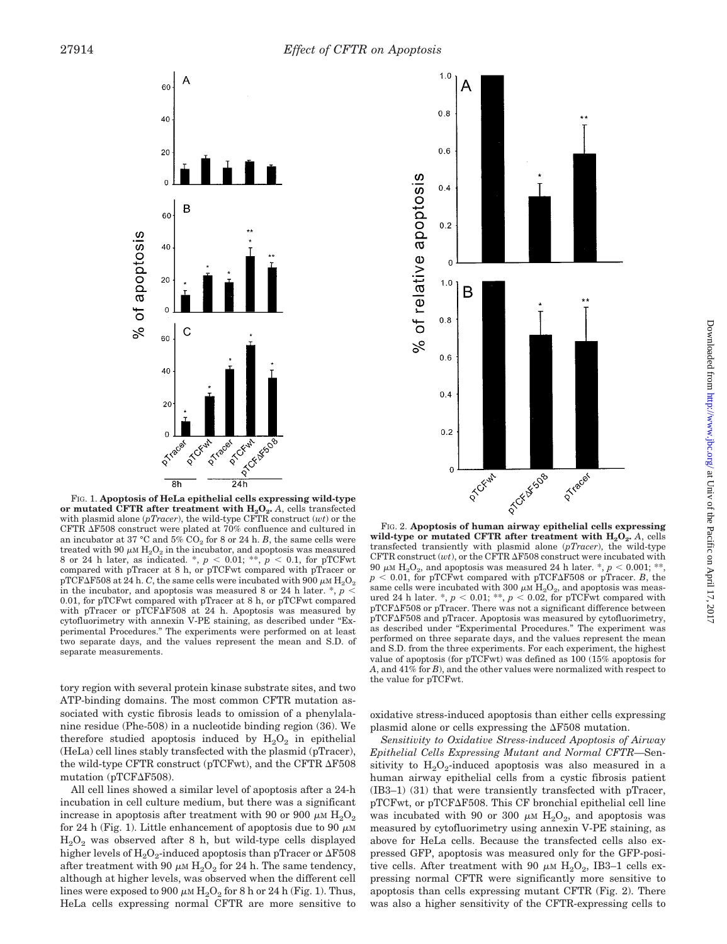



FIG. 1. **Apoptosis of HeLa epithelial cells expressing wild-type** or mutated CFTR after treatment with  $H_2O_2$ . *A*, cells transfected with plasmid alone (*pTracer*), the wild-type CFTR construct (*wt*) or the CFTR  $\Delta$ F508 construct were plated at 70% confluence and cultured in an incubator at 37  $^{\circ}$ C and 5% CO<sub>2</sub> for 8 or 24 h. *B*, the same cells were treated with 90  $\mu$ M  $H_2O_2$  in the incubator, and apoptosis was measured 8 or 24 h later, as indicated. \*,  $p < 0.01$ ; \*\*,  $p < 0.1$ , for pTCFwt compared with pTracer at 8 h, or pTCFwt compared with pTracer or  $\mathrm{pTCF}\Delta\mathrm{F508}$  at 24 h.  $C$ , the same cells were incubated with 900  $\mu$ m  $\mathrm{H_{2}O_{2}}$ in the incubator, and apoptosis was measured 8 or 24 h later. \*, *p* 0.01, for pTCFwt compared with pTracer at 8 h, or pTCFwt compared with pTracer or pTCF $\Delta$ F508 at 24 h. Apoptosis was measured by cytofluorimetry with annexin V-PE staining, as described under "Experimental Procedures." The experiments were performed on at least two separate days, and the values represent the mean and S.D. of separate measurements.

tory region with several protein kinase substrate sites, and two ATP-binding domains. The most common CFTR mutation associated with cystic fibrosis leads to omission of a phenylalanine residue (Phe-508) in a nucleotide binding region (36). We therefore studied apoptosis induced by  $H_2O_2$  in epithelial (HeLa) cell lines stably transfected with the plasmid (pTracer), the wild-type CFTR construct (pTCFwt), and the CFTR  $\Delta$ F508 mutation ( $pTCF\Delta F508$ ).

All cell lines showed a similar level of apoptosis after a 24-h incubation in cell culture medium, but there was a significant increase in apoptosis after treatment with 90 or 900  $\mu$ M H<sub>2</sub>O<sub>2</sub> for 24 h (Fig. 1). Little enhancement of apoptosis due to 90  $\mu$ M  $H<sub>2</sub>O<sub>2</sub>$  was observed after 8 h, but wild-type cells displayed higher levels of  $\rm H_2O_2$ -induced apoptosis than pTracer or  $\Delta \rm F508$ after treatment with 90  $\mu$ M H<sub>2</sub>O<sub>2</sub> for 24 h. The same tendency, although at higher levels, was observed when the different cell lines were exposed to 900  $\mu$ M H<sub>2</sub>O<sub>2</sub> for 8 h or 24 h (Fig. 1). Thus, HeLa cells expressing normal CFTR are more sensitive to

wild-type or mutated CFTR after treatment with  $H_2O_2$ . *A*, cells transfected transiently with plasmid alone (*pTracer*), the wild-type CFTR construct  $(wt)$ , or the CFTR  $\Delta$ F508 construct were incubated with  $90~\mu{\rm M}$   ${\rm H_2O_2},$  and apoptosis was measured 24 h later. \*,  $p$   $<$  0.001; \*  $p < 0.01$ , for pTCFwt compared with pTCF $\Delta$ F508 or pTracer. *B*, the same cells were incubated with 300  $\mu$ M H<sub>2</sub>O<sub>2</sub>, and apoptosis was measured 24 h later. \*,  $p < 0.01$ ; \*\*,  $p < 0.02$ , for pTCFwt compared with pTCFAF508 or pTracer. There was not a significant difference between pTCF $\Delta$ F508 and pTracer. Apoptosis was measured by cytofluorimetry, as described under "Experimental Procedures." The experiment was performed on three separate days, and the values represent the mean and S.D. from the three experiments. For each experiment, the highest value of apoptosis (for pTCFwt) was defined as 100 (15% apoptosis for *A*, and 41% for *B*), and the other values were normalized with respect to the value for pTCFwt.

oxidative stress-induced apoptosis than either cells expressing plasmid alone or cells expressing the  $\Delta$ F508 mutation.

*Sensitivity to Oxidative Stress-induced Apoptosis of Airway Epithelial Cells Expressing Mutant and Normal CFTR—*Sensitivity to  $H_2O_2$ -induced apoptosis was also measured in a human airway epithelial cells from a cystic fibrosis patient (IB3–1) (31) that were transiently transfected with pTracer, pTCFwt, or pTCF $\Delta$ F508. This CF bronchial epithelial cell line was incubated with 90 or 300  $\mu$ M H<sub>2</sub>O<sub>2</sub>, and apoptosis was measured by cytofluorimetry using annexin V-PE staining, as above for HeLa cells. Because the transfected cells also expressed GFP, apoptosis was measured only for the GFP-positive cells. After treatment with 90  $\mu$ M H<sub>2</sub>O<sub>2</sub>, IB3–1 cells expressing normal CFTR were significantly more sensitive to apoptosis than cells expressing mutant CFTR (Fig. 2). There was also a higher sensitivity of the CFTR-expressing cells to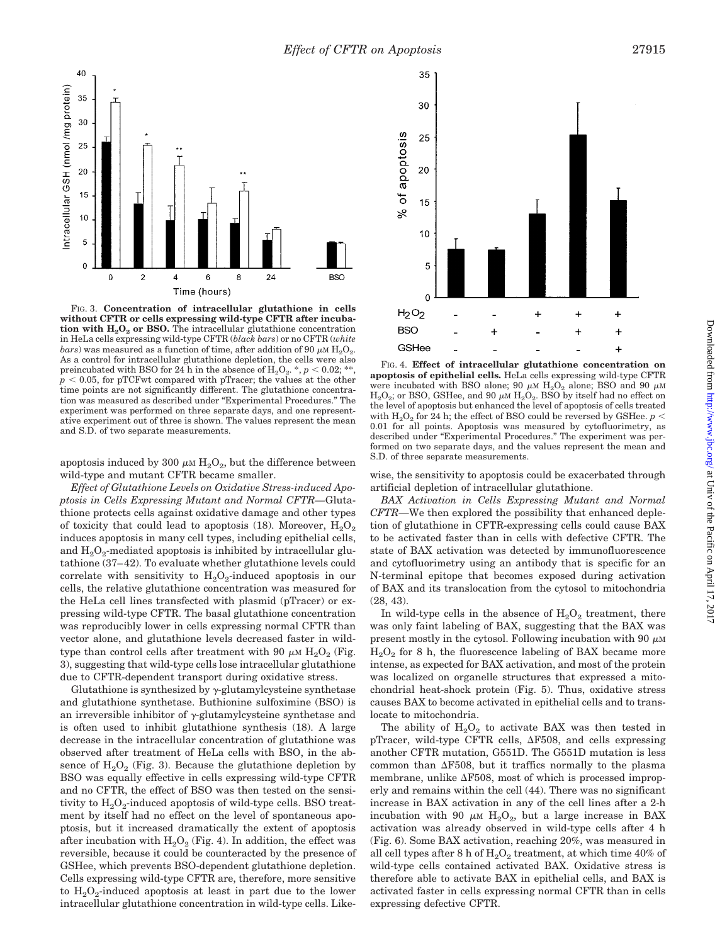

FIG. 3. **Concentration of intracellular glutathione in cells without CFTR or cells expressing wild-type CFTR after incubation with**  $H_2O_2$  **or BSO.** The intracellular glutathione concentration in HeLa cells expressing wild-type CFTR (*black bars*) or no CFTR (*white bars*) was measured as a function of time, after addition of 90  $\mu$ M H<sub>2</sub>O<sub>2</sub>. As a control for intracellular glutathione depletion, the cells were also preincubated with BSO for 24 h in the absence of  $H_2O_2$ .  $^*, p < 0.02;$  $p < 0.05$ , for pTCFwt compared with pTracer; the values at the other time points are not significantly different. The glutathione concentration was measured as described under "Experimental Procedures." The experiment was performed on three separate days, and one representative experiment out of three is shown. The values represent the mean and S.D. of two separate measurements.

apoptosis induced by 300  $\mu$ M H<sub>2</sub>O<sub>2</sub>, but the difference between wild-type and mutant CFTR became smaller.

*Effect of Glutathione Levels on Oxidative Stress-induced Apoptosis in Cells Expressing Mutant and Normal CFTR—*Glutathione protects cells against oxidative damage and other types of toxicity that could lead to apoptosis  $(18)$ . Moreover,  $H_2O_2$ induces apoptosis in many cell types, including epithelial cells, and  $H_2O_2$ -mediated apoptosis is inhibited by intracellular glutathione (37–42). To evaluate whether glutathione levels could correlate with sensitivity to  $H_2O_2$ -induced apoptosis in our cells, the relative glutathione concentration was measured for the HeLa cell lines transfected with plasmid (pTracer) or expressing wild-type CFTR. The basal glutathione concentration was reproducibly lower in cells expressing normal CFTR than vector alone, and glutathione levels decreased faster in wildtype than control cells after treatment with 90  $\mu$ M H<sub>2</sub>O<sub>2</sub> (Fig. 3), suggesting that wild-type cells lose intracellular glutathione due to CFTR-dependent transport during oxidative stress.

Glutathione is synthesized by  $\gamma$ -glutamylcysteine synthetase and glutathione synthetase. Buthionine sulfoximine (BSO) is an irreversible inhibitor of  $\gamma$ -glutamylcysteine synthetase and is often used to inhibit glutathione synthesis (18). A large decrease in the intracellular concentration of glutathione was observed after treatment of HeLa cells with BSO, in the absence of  $H_2O_2$  (Fig. 3). Because the glutathione depletion by BSO was equally effective in cells expressing wild-type CFTR and no CFTR, the effect of BSO was then tested on the sensitivity to  $H_2O_2$ -induced apoptosis of wild-type cells. BSO treatment by itself had no effect on the level of spontaneous apoptosis, but it increased dramatically the extent of apoptosis after incubation with  $H_2O_2$  (Fig. 4). In addition, the effect was reversible, because it could be counteracted by the presence of GSHee, which prevents BSO-dependent glutathione depletion. Cells expressing wild-type CFTR are, therefore, more sensitive to  $H_2O_2$ -induced apoptosis at least in part due to the lower intracellular glutathione concentration in wild-type cells. Like-



FIG. 4. **Effect of intracellular glutathione concentration on apoptosis of epithelial cells.** HeLa cells expressing wild-type CFTR were incubated with BSO alone; 90  $\mu$ M H<sub>2</sub>O<sub>2</sub> alone; BSO and 90  $\mu$ M  $H<sub>2</sub>O<sub>2</sub>$ ; or BSO, GSHee, and 90  $\mu$ M  $H<sub>2</sub>O<sub>2</sub>$ . BSO by itself had no effect on the level of apoptosis but enhanced the level of apoptosis of cells treated with  $H_2O_2$  for 24 h; the effect of BSO could be reversed by GSHee. *p* < 0.01 for all points. Apoptosis was measured by cytofluorimetry, as described under "Experimental Procedures." The experiment was performed on two separate days, and the values represent the mean and S.D. of three separate measurements.

wise, the sensitivity to apoptosis could be exacerbated through artificial depletion of intracellular glutathione.

*BAX Activation in Cells Expressing Mutant and Normal CFTR—*We then explored the possibility that enhanced depletion of glutathione in CFTR-expressing cells could cause BAX to be activated faster than in cells with defective CFTR. The state of BAX activation was detected by immunofluorescence and cytofluorimetry using an antibody that is specific for an N-terminal epitope that becomes exposed during activation of BAX and its translocation from the cytosol to mitochondria (28, 43).

In wild-type cells in the absence of  $H_2O_2$  treatment, there was only faint labeling of BAX, suggesting that the BAX was present mostly in the cytosol. Following incubation with 90  $\mu$ M  $H<sub>2</sub>O<sub>2</sub>$  for 8 h, the fluorescence labeling of BAX became more intense, as expected for BAX activation, and most of the protein was localized on organelle structures that expressed a mitochondrial heat-shock protein (Fig. 5). Thus, oxidative stress causes BAX to become activated in epithelial cells and to translocate to mitochondria.

The ability of  $H_2O_2$  to activate BAX was then tested in pTracer, wild-type CFTR cells,  $\Delta$ F508, and cells expressing another CFTR mutation, G551D. The G551D mutation is less common than  $\Delta$ F508, but it traffics normally to the plasma membrane, unlike  $\Delta$ F508, most of which is processed improperly and remains within the cell (44). There was no significant increase in BAX activation in any of the cell lines after a 2-h incubation with 90  $\mu$ M H<sub>2</sub>O<sub>2</sub>, but a large increase in BAX activation was already observed in wild-type cells after 4 h (Fig. 6). Some BAX activation, reaching 20%, was measured in all cell types after 8 h of  $H_2O_2$  treatment, at which time 40% of wild-type cells contained activated BAX. Oxidative stress is therefore able to activate BAX in epithelial cells, and BAX is activated faster in cells expressing normal CFTR than in cells expressing defective CFTR.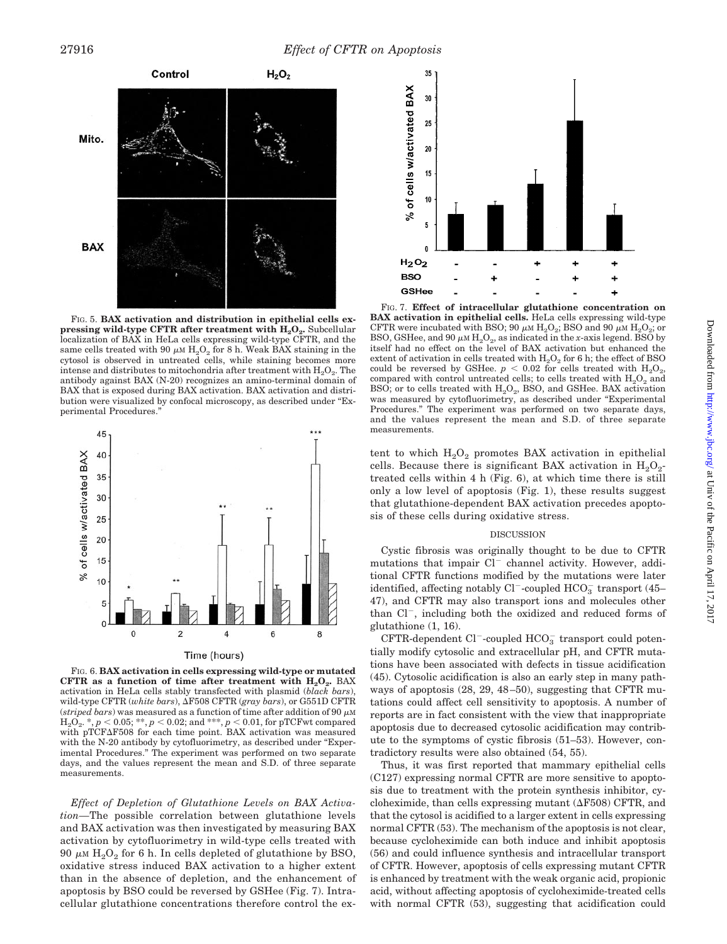

FIG. 5. **BAX activation and distribution in epithelial cells ex**pressing wild-type CFTR after treatment with H<sub>2</sub>O<sub>2</sub>. Subcellular localization of BAX in HeLa cells expressing wild-type CFTR, and the same cells treated with 90  $\mu$ m  $\text{H}_{2}\text{O}_{2}$  for 8 h. Weak BAX staining in the cytosol is observed in untreated cells, while staining becomes more intense and distributes to mitochondria after treatment with  $H_2O_2$ . The antibody against BAX (N-20) recognizes an amino-terminal domain of BAX that is exposed during BAX activation. BAX activation and distribution were visualized by confocal microscopy, as described under "Experimental Procedures."



Time (hours)

FIG. 6. **BAX activation in cells expressing wild-type or mutated** CFTR as a function of time after treatment with  $H_2O_2$ . BAX activation in HeLa cells stably transfected with plasmid (*black bars*), wild-type CFTR (*white bars*), ΔF508 CFTR (*gray bars*), or G551D CFTR (*striped bars*) was measured as a function of time after addition of 90  $\mu$ M  $\rm{H_2O_2^{\text{}}*}, \it{p} < 0.05; **, \it{p} < 0.02;$  and  $^{***}, \it{p} < 0.01,$  for pTCFwt compared with pTCF $\Delta$ F508 for each time point. BAX activation was measured with the N-20 antibody by cytofluorimetry, as described under "Experimental Procedures." The experiment was performed on two separate days, and the values represent the mean and S.D. of three separate measurements.

*Effect of Depletion of Glutathione Levels on BAX Activation—*The possible correlation between glutathione levels and BAX activation was then investigated by measuring BAX activation by cytofluorimetry in wild-type cells treated with 90  $\mu$ M H<sub>2</sub>O<sub>2</sub> for 6 h. In cells depleted of glutathione by BSO, oxidative stress induced BAX activation to a higher extent than in the absence of depletion, and the enhancement of apoptosis by BSO could be reversed by GSHee (Fig. 7). Intracellular glutathione concentrations therefore control the ex-

![](_page_6_Figure_8.jpeg)

FIG. 7. **Effect of intracellular glutathione concentration on BAX activation in epithelial cells.** HeLa cells expressing wild-type CFTR were incubated with BSO; 90  $\mu$ M H<sub>2</sub>O<sub>2</sub>; BSO and 90  $\mu$ M H<sub>2</sub>O<sub>2</sub>; or BSO, GSHee, and 90  $\mu$ M H<sub>2</sub>O<sub>2</sub>, as indicated in the *x*-axis legend. BSO by itself had no effect on the level of BAX activation but enhanced the extent of activation in cells treated with  $H_2O_2$  for 6 h; the effect of BSO could be reversed by GSHee.  $p < 0.02$  for cells treated with  $H_2O_2$ , compared with control untreated cells; to cells treated with  $\rm H_2O_2$  and BSO; or to cells treated with  $H_2O_2$ , BSO, and GSHee. BAX activation was measured by cytofluorimetry, as described under "Experimental Procedures." The experiment was performed on two separate days, and the values represent the mean and S.D. of three separate measurements.

tent to which  $H_2O_2$  promotes BAX activation in epithelial cells. Because there is significant BAX activation in  $H_2O_2$ treated cells within 4 h (Fig. 6), at which time there is still only a low level of apoptosis (Fig. 1), these results suggest that glutathione-dependent BAX activation precedes apoptosis of these cells during oxidative stress.

#### DISCUSSION

Cystic fibrosis was originally thought to be due to CFTR mutations that impair  $Cl^-$  channel activity. However, additional CFTR functions modified by the mutations were later identified, affecting notably Cl<sup>-</sup>-coupled  $\mathrm{HCO}_3^-$  transport (45– 47), and CFTR may also transport ions and molecules other than  $Cl^-$ , including both the oxidized and reduced forms of glutathione (1, 16).

 $CFTR$ -dependent  $Cl^-$ -coupled  $HCO_3^-$  transport could potentially modify cytosolic and extracellular pH, and CFTR mutations have been associated with defects in tissue acidification (45). Cytosolic acidification is also an early step in many pathways of apoptosis (28, 29, 48–50), suggesting that CFTR mutations could affect cell sensitivity to apoptosis. A number of reports are in fact consistent with the view that inappropriate apoptosis due to decreased cytosolic acidification may contribute to the symptoms of cystic fibrosis (51–53). However, contradictory results were also obtained (54, 55).

Thus, it was first reported that mammary epithelial cells (C127) expressing normal CFTR are more sensitive to apoptosis due to treatment with the protein synthesis inhibitor, cycloheximide, than cells expressing mutant  $(\Delta F508)$  CFTR, and that the cytosol is acidified to a larger extent in cells expressing normal CFTR (53). The mechanism of the apoptosis is not clear. because cycloheximide can both induce and inhibit apoptosis (56) and could influence synthesis and intracellular transport of CFTR. However, apoptosis of cells expressing mutant CFTR is enhanced by treatment with the weak organic acid, propionic acid, without affecting apoptosis of cycloheximide-treated cells with normal CFTR (53), suggesting that acidification could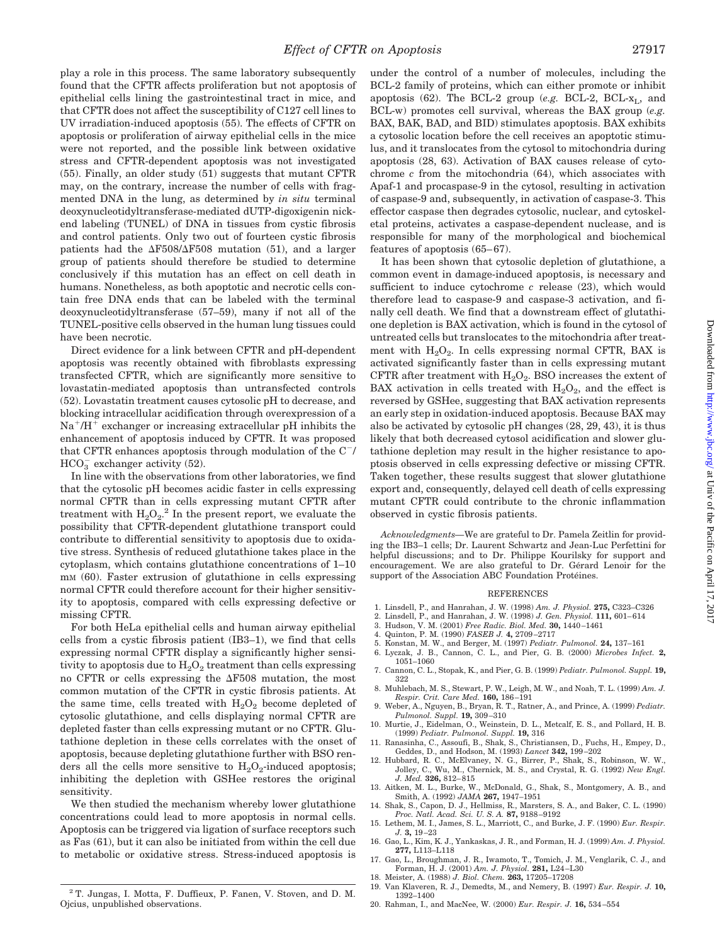play a role in this process. The same laboratory subsequently found that the CFTR affects proliferation but not apoptosis of epithelial cells lining the gastrointestinal tract in mice, and that CFTR does not affect the susceptibility of C127 cell lines to UV irradiation-induced apoptosis (55). The effects of CFTR on apoptosis or proliferation of airway epithelial cells in the mice were not reported, and the possible link between oxidative stress and CFTR-dependent apoptosis was not investigated (55). Finally, an older study (51) suggests that mutant CFTR may, on the contrary, increase the number of cells with fragmented DNA in the lung, as determined by *in situ* terminal deoxynucleotidyltransferase-mediated dUTP-digoxigenin nickend labeling (TUNEL) of DNA in tissues from cystic fibrosis and control patients. Only two out of fourteen cystic fibrosis patients had the  $\Delta$ F508/ $\Delta$ F508 mutation (51), and a larger group of patients should therefore be studied to determine conclusively if this mutation has an effect on cell death in humans. Nonetheless, as both apoptotic and necrotic cells contain free DNA ends that can be labeled with the terminal deoxynucleotidyltransferase (57–59), many if not all of the TUNEL-positive cells observed in the human lung tissues could have been necrotic.

Direct evidence for a link between CFTR and pH-dependent apoptosis was recently obtained with fibroblasts expressing transfected CFTR, which are significantly more sensitive to lovastatin-mediated apoptosis than untransfected controls (52). Lovastatin treatment causes cytosolic pH to decrease, and blocking intracellular acidification through overexpression of a  $Na<sup>+</sup>/H<sup>+</sup>$  exchanger or increasing extracellular pH inhibits the enhancement of apoptosis induced by CFTR. It was proposed that CFTR enhances apoptosis through modulation of the  $C^{-}$ /  $HCO_3^-$  exchanger activity (52).

In line with the observations from other laboratories, we find that the cytosolic pH becomes acidic faster in cells expressing normal CFTR than in cells expressing mutant CFTR after treatment with  $H_2O_2$ .<sup>2</sup> In the present report, we evaluate the possibility that CFTR-dependent glutathione transport could contribute to differential sensitivity to apoptosis due to oxidative stress. Synthesis of reduced glutathione takes place in the cytoplasm, which contains glutathione concentrations of 1–10 mM (60). Faster extrusion of glutathione in cells expressing normal CFTR could therefore account for their higher sensitivity to apoptosis, compared with cells expressing defective or missing CFTR.

For both HeLa epithelial cells and human airway epithelial cells from a cystic fibrosis patient (IB3–1), we find that cells expressing normal CFTR display a significantly higher sensitivity to apoptosis due to  $H_2O_2$  treatment than cells expressing no CFTR or cells expressing the  $\Delta$ F508 mutation, the most common mutation of the CFTR in cystic fibrosis patients. At the same time, cells treated with  $H_2O_2$  become depleted of cytosolic glutathione, and cells displaying normal CFTR are depleted faster than cells expressing mutant or no CFTR. Glutathione depletion in these cells correlates with the onset of apoptosis, because depleting glutathione further with BSO renders all the cells more sensitive to  $H_2O_2$ -induced apoptosis; inhibiting the depletion with GSHee restores the original sensitivity.

We then studied the mechanism whereby lower glutathione concentrations could lead to more apoptosis in normal cells. Apoptosis can be triggered via ligation of surface receptors such as Fas (61), but it can also be initiated from within the cell due to metabolic or oxidative stress. Stress-induced apoptosis is

<sup>2</sup> T. Jungas, I. Motta, F. Duffieux, P. Fanen, V. Stoven, and D. M. Ojcius, unpublished observations.

under the control of a number of molecules, including the BCL-2 family of proteins, which can either promote or inhibit apoptosis (62). The BCL-2 group ( $e.g.$  BCL-2, BCL- $x_L$ , and BCL-w) promotes cell survival, whereas the BAX group (*e.g.* BAX, BAK, BAD, and BID) stimulates apoptosis. BAX exhibits a cytosolic location before the cell receives an apoptotic stimulus, and it translocates from the cytosol to mitochondria during apoptosis (28, 63). Activation of BAX causes release of cytochrome *c* from the mitochondria (64), which associates with Apaf-1 and procaspase-9 in the cytosol, resulting in activation of caspase-9 and, subsequently, in activation of caspase-3. This effector caspase then degrades cytosolic, nuclear, and cytoskeletal proteins, activates a caspase-dependent nuclease, and is responsible for many of the morphological and biochemical features of apoptosis (65–67).

It has been shown that cytosolic depletion of glutathione, a common event in damage-induced apoptosis, is necessary and sufficient to induce cytochrome *c* release (23), which would therefore lead to caspase-9 and caspase-3 activation, and finally cell death. We find that a downstream effect of glutathione depletion is BAX activation, which is found in the cytosol of untreated cells but translocates to the mitochondria after treatment with  $H_2O_2$ . In cells expressing normal CFTR, BAX is activated significantly faster than in cells expressing mutant CFTR after treatment with  $H_2O_2$ . BSO increases the extent of BAX activation in cells treated with  $H_2O_2$ , and the effect is reversed by GSHee, suggesting that BAX activation represents an early step in oxidation-induced apoptosis. Because BAX may also be activated by cytosolic pH changes (28, 29, 43), it is thus likely that both decreased cytosol acidification and slower glutathione depletion may result in the higher resistance to apoptosis observed in cells expressing defective or missing CFTR. Taken together, these results suggest that slower glutathione export and, consequently, delayed cell death of cells expressing mutant CFTR could contribute to the chronic inflammation observed in cystic fibrosis patients.

*Acknowledgments—*We are grateful to Dr. Pamela Zeitlin for providing the IB3–1 cells; Dr. Laurent Schwartz and Jean-Luc Perfettini for helpful discussions; and to Dr. Philippe Kourilsky for support and encouragement. We are also grateful to Dr. Gérard Lenoir for the support of the Association ABC Foundation Protéines.

#### REFERENCES

- 1. Linsdell, P., and Hanrahan, J. W. (1998) *Am. J. Physiol.* **275,** C323–C326
- 2. Linsdell, P., and Hanrahan, J. W. (1998) *J. Gen. Physiol.* **111,** 601–614
- 3. Hudson, V. M. (2001) *Free Radic. Biol. Med.* **30,** 1440–1461
- 4. Quinton, P. M. (1990) *FASEB J.* **4,** 2709–2717
- 
- 5. Konstan, M. W., and Berger, M. (1997) *Pediatr. Pulmonol.* **24,** 137–161 6. Lyczak, J. B., Cannon, C. L., and Pier, G. B. (2000) *Microbes Infect.* **2,** 1051–1060
- 7. Cannon, C. L., Stopak, K., and Pier, G. B. (1999) *Pediatr. Pulmonol. Suppl.* **19,** 322
- 8. Muhlebach, M. S., Stewart, P. W., Leigh, M. W., and Noah, T. L. (1999) *Am. J. Respir. Crit. Care Med.* **160,** 186–191
- 9. Weber, A., Nguyen, B., Bryan, R. T., Ratner, A., and Prince, A. (1999) *Pediatr. Pulmonol. Suppl.* **19,** 309–310
- 10. Murtie, J., Eidelman, O., Weinstein, D. L., Metcalf, E. S., and Pollard, H. B. (1999) *Pediatr. Pulmonol. Suppl.* **19,** 316
- 11. Ranasinha, C., Assoufi, B., Shak, S., Christiansen, D., Fuchs, H., Empey, D., Geddes, D., and Hodson, M. (1993) *Lancet* **342,** 199–202
- 12. Hubbard, R. C., McElvaney, N. G., Birrer, P., Shak, S., Robinson, W. W., Jolley, C., Wu, M., Chernick, M. S., and Crystal, R. G. (1992) *New Engl. J. Med.* **326,** 812–815
- 13. Aitken, M. L., Burke, W., McDonald, G., Shak, S., Montgomery, A. B., and Smith, A. (1992) *JAMA* **267,** 1947–1951
- 14. Shak, S., Capon, D. J., Hellmiss, R., Marsters, S. A., and Baker, C. L. (1990) *Proc. Natl. Acad. Sci. U. S. A.* **87,** 9188–9192 15. Lethem, M. I., James, S. L., Marriott, C., and Burke, J. F. (1990) *Eur. Respir.*
- *J.* **3,** 19–23 16. Gao, L., Kim, K. J., Yankaskas, J. R., and Forman, H. J. (1999) *Am. J. Physiol.*
- **277,** L113–L118 17. Gao, L., Broughman, J. R., Iwamoto, T., Tomich, J. M., Venglarik, C. J., and
- Forman, H. J. (2001) *Am. J. Physiol.* **281,** L24–L30
- 18. Meister, A. (1988) *J. Biol. Chem.* **263,** 17205–17208
- 19. Van Klaveren, R. J., Demedts, M., and Nemery, B. (1997) *Eur. Respir. J.* **10,** 1392–1400
- 20. Rahman, I., and MacNee, W. (2000) *Eur. Respir. J.* **16,** 534–554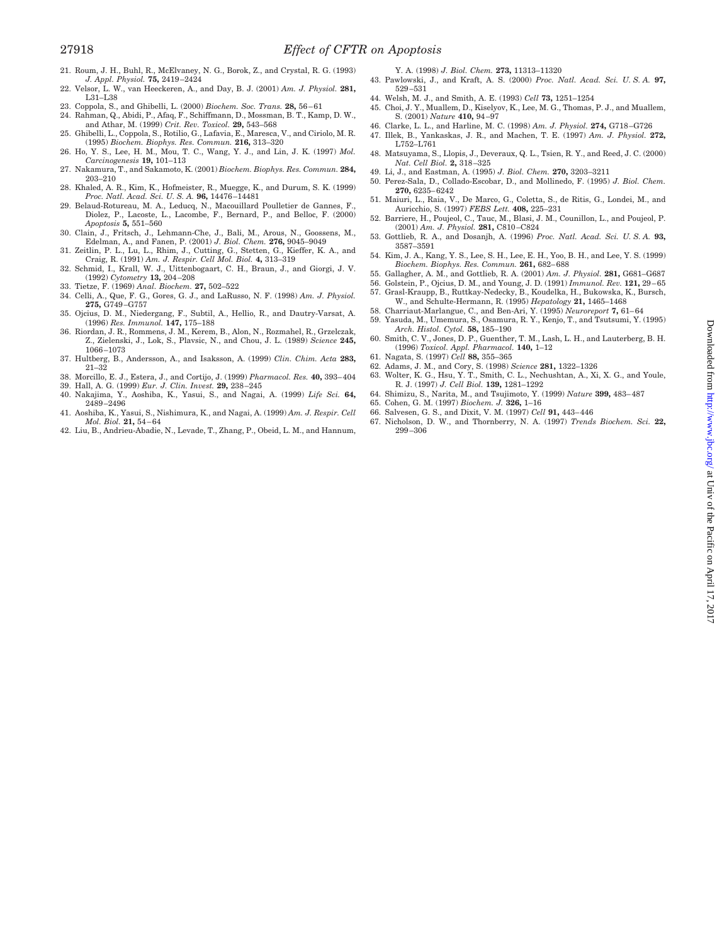- 21. Roum, J. H., Buhl, R., McElvaney, N. G., Borok, Z., and Crystal, R. G. (1993) *J. Appl. Physiol.* **75,** 2419–2424
- 22. Velsor, L. W., van Heeckeren, A., and Day, B. J. (2001) *Am. J. Physiol.* **281,** L31–L38
- 23. Coppola, S., and Ghibelli, L. (2000) *Biochem. Soc. Trans.* **28,** 56–61
- 24. Rahman, Q., Abidi, P., Afaq, F., Schiffmann, D., Mossman, B. T., Kamp, D. W., and Athar, M. (1999) *Crit. Rev. Toxicol.* **29,** 543–568
- 25. Ghibelli, L., Coppola, S., Rotilio, G., Lafavia, E., Maresca, V., and Ciriolo, M. R. (1995) *Biochem. Biophys. Res. Commun.* **216,** 313–320 26. Ho, Y. S., Lee, H. M., Mou, T. C., Wang, Y. J., and Lin, J. K. (1997) *Mol.*
- *Carcinogenesis* **19,** 101–113
- 27. Nakamura, T., and Sakamoto, K. (2001) *Biochem. Biophys. Res. Commun.* **284,** 203–210
- 28. Khaled, A. R., Kim, K., Hofmeister, R., Muegge, K., and Durum, S. K. (1999) *Proc. Natl. Acad. Sci. U. S. A.* **96,** 14476–14481 29. Belaud-Rotureau, M. A., Leducq, N., Macouillard Poulletier de Gannes, F.,
- Diolez, P., Lacoste, L., Lacombe, F., Bernard, P., and Belloc, F. (2000) *Apoptosis* **5,** 551–560
- 30. Clain, J., Fritsch, J., Lehmann-Che, J., Bali, M., Arous, N., Goossens, M., Edelman, A., and Fanen, P. (2001) *J. Biol. Chem.* **276,** 9045–9049
- 31. Zeitlin, P. L., Lu, L., Rhim, J., Cutting, G., Stetten, G., Kieffer, K. A., and Craig, R. (1991) *Am. J. Respir. Cell Mol. Biol.* **4,** 313–319 32. Schmid, I., Krall, W. J., Uittenbogaart, C. H., Braun, J., and Giorgi, J. V.
- (1992) *Cytometry* **13,** 204–208
- 33. Tietze, F. (1969) *Anal. Biochem.* **27,** 502–522
- 34. Celli, A., Que, F. G., Gores, G. J., and LaRusso, N. F. (1998) *Am. J. Physiol.* **275,** G749–G757
- 35. Ojcius, D. M., Niedergang, F., Subtil, A., Hellio, R., and Dautry-Varsat, A. (1996) *Res. Immunol.* **147,** 175–188
- 36. Riordan, J. R., Rommens, J. M., Kerem, B., Alon, N., Rozmahel, R., Grzelczak, Z., Zielenski, J., Lok, S., Plavsic, N., and Chou, J. L. (1989) *Science* **245,** 1066–1073
- 37. Hultberg, B., Andersson, A., and Isaksson, A. (1999) *Clin. Chim. Acta* **283,** 21–32
- 38. Morcillo, E. J., Estera, J., and Cortijo, J. (1999) *Pharmacol. Res.* **40,** 393–404
- 39. Hall, A. G. (1999) *Eur. J. Clin. Invest.* **29,** 238–245 40. Nakajima, Y., Aoshiba, K., Yasui, S., and Nagai, A. (1999) *Life Sci.* **64,**
- 2489–2496 41. Aoshiba, K., Yasui, S., Nishimura, K., and Nagai, A. (1999) *Am. J. Respir. Cell*
- *Mol. Biol.* **21,** 54–64 42. Liu, B., Andrieu-Abadie, N., Levade, T., Zhang, P., Obeid, L. M., and Hannum,
- Y. A. (1998) *J. Biol. Chem.* **273,** 11313–11320
- 43. Pawlowski, J., and Kraft, A. S. (2000) *Proc. Natl. Acad. Sci. U. S. A.* **97,** 529–531
- 44. Welsh, M. J., and Smith, A. E. (1993) *Cell* **73,** 1251–1254
- 45. Choi, J. Y., Muallem, D., Kiselyov, K., Lee, M. G., Thomas, P. J., and Muallem, S. (2001) *Nature* **410,** 94–97
- 46. Clarke, L. L., and Harline, M. C. (1998) *Am. J. Physiol.* **274,** G718–G726 47. Illek, B., Yankaskas, J. R., and Machen, T. E. (1997) *Am. J. Physiol.* **272,**
- L752–L761 48. Matsuyama, S., Llopis, J., Deveraux, Q. L., Tsien, R. Y., and Reed, J. C. (2000) *Nat. Cell Biol.* **2,** 318–325
- 49. Li, J., and Eastman, A. (1995) *J. Biol. Chem.* **270,** 3203–3211
- 50. Perez-Sala, D., Collado-Escobar, D., and Mollinedo, F. (1995) *J. Biol. Chem.* **270,** 6235–6242
- 51. Maiuri, L., Raia, V., De Marco, G., Coletta, S., de Ritis, G., Londei, M., and
- Auricchio, S. (1997) *FEBS Lett.* **408,** 225–231 52. Barriere, H., Poujeol, C., Tauc, M., Blasi, J. M., Counillon, L., and Poujeol, P. (2001) *Am. J. Physiol.* **281,** C810–C824
- 53. Gottlieb, R. A., and Dosanjh, A. (1996) *Proc. Natl. Acad. Sci. U. S. A.* **93,** 3587–3591
- 54. Kim, J. A., Kang, Y. S., Lee, S. H., Lee, E. H., Yoo, B. H., and Lee, Y. S. (1999) *Biochem. Biophys. Res. Commun.* **261,** 682–688
- 55. Gallagher, A. M., and Gottlieb, R. A. (2001) *Am. J. Physiol.* **281,** G681–G687
- 56. Golstein, P., Ojcius, D. M., and Young, J. D. (1991) *Immunol. Rev.* **121,** 29–65
- 57. Grasl-Kraupp, B., Ruttkay-Nedecky, B., Koudelka, H., Bukowska, K., Bursch, W., and Schulte-Hermann, R. (1995) *Hepatology* **21,** 1465–1468
- 58. Charriaut-Marlangue, C., and Ben-Ari, Y. (1995) *Neuroreport* **7,** 61–64
- 59. Yasuda, M., Umemura, S., Osamura, R. Y., Kenjo, T., and Tsutsumi, Y. (1995) *Arch. Histol. Cytol.* **58,** 185–190
- 60. Smith, C. V., Jones, D. P., Guenther, T. M., Lash, L. H., and Lauterberg, B. H. (1996) *Toxicol. Appl. Pharmacol.* **140,** 1–12
- 61. Nagata, S. (1997) *Cell* **88,** 355–365
- 62. Adams, J. M., and Cory, S. (1998) *Science* **281,** 1322–1326 63. Wolter, K. G., Hsu, Y. T., Smith, C. L., Nechushtan, A., Xi, X. G., and Youle, R. J. (1997) *J. Cell Biol.* **139,** 1281–1292
- 64. Shimizu, S., Narita, M., and Tsujimoto, Y. (1999) *Nature* **399,** 483–487 65. Cohen, G. M. (1997) *Biochem. J.* **326,** 1–16
- 66. Salvesen, G. S., and Dixit, V. M. (1997) *Cell* **91,** 443–446
- 
- 67. Nicholson, D. W., and Thornberry, N. A. (1997) *Trends Biochem. Sci.* **22,** 299–306